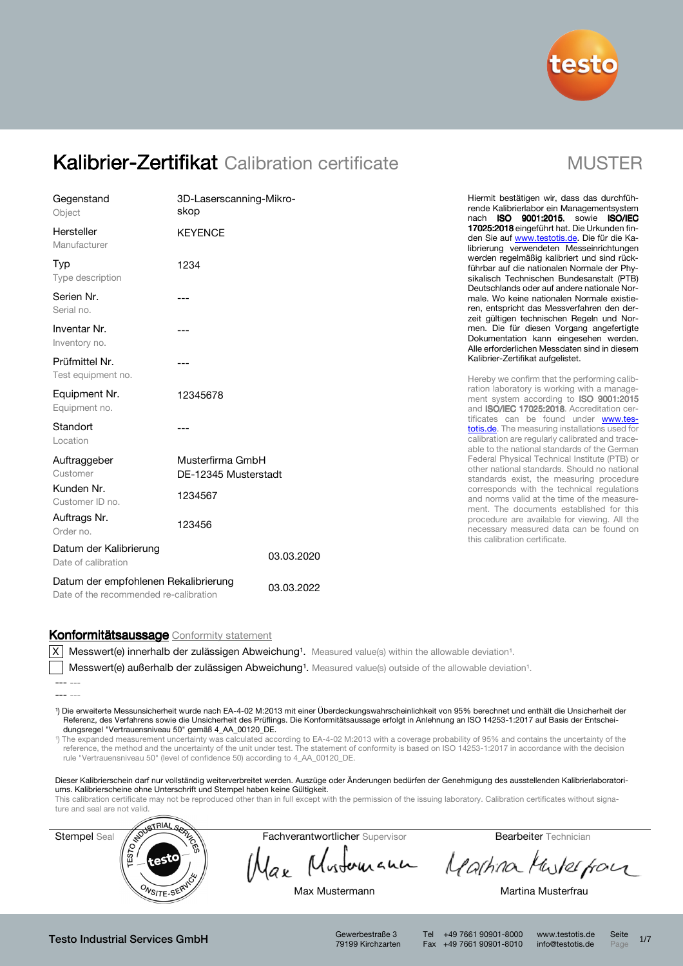

| Gegenstand<br>Object                                                           | 3D-Laserscanning-Mikro-<br>skop          |            |
|--------------------------------------------------------------------------------|------------------------------------------|------------|
| Hersteller<br>Manufacturer                                                     | <b>KEYENCE</b>                           |            |
| Typ<br>Type description                                                        | 1234                                     |            |
| Serien Nr.<br>Serial no.                                                       |                                          |            |
| Inventar Nr.<br>Inventory no.                                                  |                                          |            |
| Prüfmittel Nr.<br>Test equipment no.                                           |                                          |            |
| Equipment Nr.<br>Equipment no.                                                 | 12345678                                 |            |
| Standort<br>Location                                                           |                                          |            |
| Auftraggeber<br>Customer                                                       | Musterfirma GmbH<br>DE-12345 Musterstadt |            |
| Kunden Nr.<br>Customer ID no.                                                  | 1234567                                  |            |
| Auftrags Nr.<br>Order no.                                                      | 123456                                   |            |
| Datum der Kalibrierung<br>Date of calibration                                  |                                          | 03.03.2020 |
| Datum der empfohlenen Rekalibrierung<br>Date of the recommended re-calibration |                                          | 03.03.2022 |

Hiermit bestätigen wir, dass das durchführende Kalibrierlabor ein Managementsystem nach ISO 9001:2015, sowie ISO/IEC 17025:2018 eingeführt hat. Die Urkunden finden Sie auf www.testotis.de. Die für die Kalibrierung verwendeten Messeinrichtungen werden regelmäßig kalibriert und sind rückführbar auf die nationalen Normale der Physikalisch Technischen Bundesanstalt (PTB) Deutschlands oder auf andere nationale Normale. Wo keine nationalen Normale existieren, entspricht das Messverfahren den derzeit gültigen technischen Regeln und Normen. Die für diesen Vorgang angefertigte Dokumentation kann eingesehen werden. Alle erforderlichen Messdaten sind in diesem Kalibrier-Zertifikat aufgelistet.

Hereby we confirm that the performing calibration laboratory is working with a management system according to **ISO 9001:2015** and ISO/IEC 17025:2018. Accreditation certificates can be found under www.testotis.de. The measuring installations used for calibration are regularly calibrated and traceable to the national standards of the German Federal Physical Technical Institute (PTB) or other national standards. Should no national standards exist, the measuring procedure corresponds with the technical regulations and norms valid at the time of the measurement. The documents established for this procedure are available for viewing. All the necessary measured data can be found on this calibration certificate.

### Konformitätsaussage Conformity statement

 $X$  Messwert(e) innerhalb der zulässigen Abweichung<sup>1</sup>. Measured value(s) within the allowable deviation<sup>1</sup>.

Messwert(e) außerhalb der zulässigen Abweichung<sup>1</sup>. Measured value(s) outside of the allowable deviation<sup>1</sup>.

¹) Die erweiterte Messunsicherheit wurde nach EA-4-02 M:2013 mit einer Überdeckungswahrscheinlichkeit von 95% berechnet und enthält die Unsicherheit der Referenz, des Verfahrens sowie die Unsicherheit des Prüflings. Die Konformitätsaussage erfolgt in Anlehnung an ISO 14253-1:2017 auf Basis der Entscheidungsregel "Vertrauensniveau 50" gemäß 4\_AA\_00120\_DE.

¹) The expanded measurement uncertainty was calculated according to EA-4-02 M:2013 with a coverage probability of 95% and contains the uncertainty of the reference, the method and the uncertainty of the unit under test. The statement of conformity is based on ISO 14253-1:2017 in accordance with the decision rule "Vertrauensniveau 50" (level of confidence 50) according to 4\_AA\_00120\_DE.

Dieser Kalibrierschein darf nur vollständig weiterverbreitet werden. Auszüge oder Änderungen bedürfen der Genehmigung des ausstellenden Kalibrierlaboratoriums. Kalibrierscheine ohne Unterschrift und Stempel haben keine Gültigkeit.

This calibration certificate may not be reproduced other than in full except with the permission of the issuing laboratory. Calibration certificates without signa-



Max Mustomann Martina Musterpor

Max Mustermann Max Martina Musterfrau

Testo Industrial Services GmbH Gewerbestraße 3

79199 Kirchzarten

Tel +49 7661 90901-8000 www.testotis.de Seite 1/7 Fax +49 7661 90901-8010 info@testotis.de Page

<sup>---</sup> ---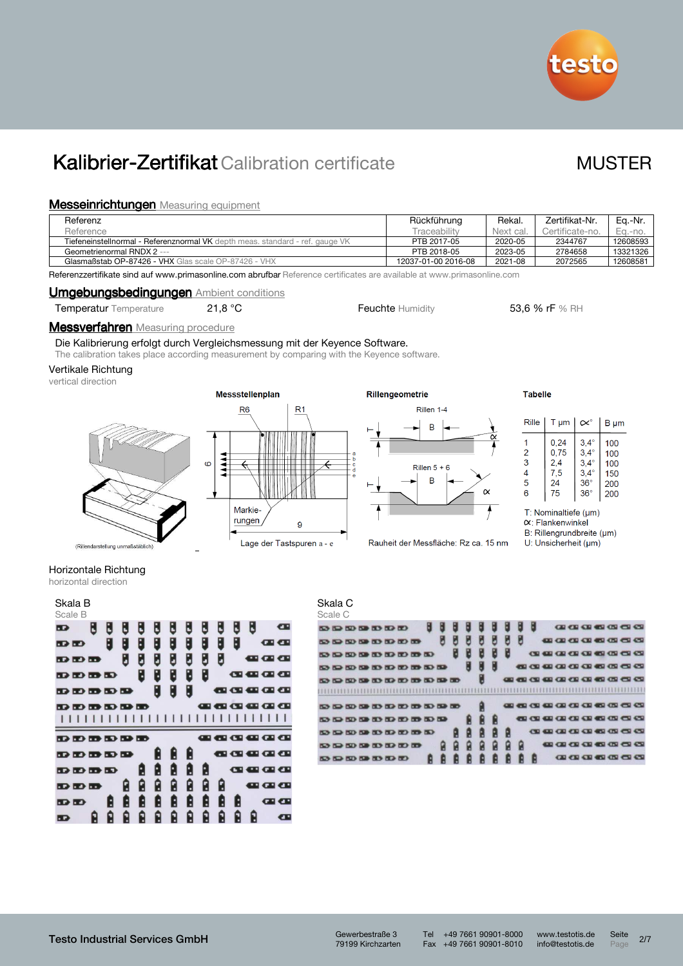

### **Messeinrichtungen** Measuring equipment

| Referenz                                                                      | Rückführung         | Rekal.    | Zertifikat-Nr.  | Ea.-Nr.  |
|-------------------------------------------------------------------------------|---------------------|-----------|-----------------|----------|
| Reference                                                                     | <b>Traceability</b> | Next cal. | Certificate-no. | Ea.-no.  |
| Tiefeneinstellnormal - Referenznormal VK depth meas, standard - ref. gauge VK | PTB 2017-05         | 2020-05   | 2344767         | 12608593 |
| Geometrienormal RNDX 2 ---                                                    | PTB 2018-05         | 2023-05   | 2784658         | 13321326 |
| Glasmaßstab OP-87426 - VHX Glas scale OP-87426 - VHX                          | 12037-01-00 2016-08 | 2021-08   | 2072565         | 12608581 |

Referenzzertifikate sind auf www.primasonline.com abrufbar Reference certificates are available at www.primasonline.com

### **Umgebungsbedingungen** Ambient conditions

| <b>Temperatur</b> Temperature | 21.8 $\degree$ C |
|-------------------------------|------------------|
|                               |                  |

### **Messverfahren** Measuring procedure

Die Kalibrierung erfolgt durch Vergleichsmessung mit der Keyence Software.

The calibration takes place according measurement by comparing with the Keyence software.

### Vertikale Richtung

vertical direction







Feuchte Humidity 53,6 % rF % RH

### **Tabelle**

| Rille<br>$T \mu m$ |      |             | $B \mu m$ |
|--------------------|------|-------------|-----------|
| 1                  | 0,24 | $3.4^\circ$ | 100       |
| $\overline{2}$     | 0,75 | $3,4^\circ$ | 100       |
| 3                  | 2,4  | $3.4^\circ$ | 100       |
| 4                  | 7,5  | $3.4^\circ$ | 150       |
| 5                  | 24   | $36^\circ$  | 200       |
| 6                  | 75   | $36^\circ$  | 200       |

T: Nominaltiefe (µm)

- $\alpha$ : Flankenwinkel
- B: Rillengrundbreite (µm)

U: Unsicherheit (µm)

## Horizontale Richtung

| horizontal direction |  |
|----------------------|--|
|                      |  |

| Skala B<br>Scale B |   |   |   |   |   |    |   |              |    |   |                    |                                    |
|--------------------|---|---|---|---|---|----|---|--------------|----|---|--------------------|------------------------------------|
| H<br>Ю             | L | E | L | E | L | L  | H | B            | Ľ  | B |                    | œ                                  |
| <b>DD</b>          | 8 | 8 | U | U | ۸ | IJ | 8 | 8            | Н  |   |                    | <b>GI CII</b>                      |
| D D D              |   | B | U | U | U | U  | B | B            |    |   | ---                |                                    |
| <b>DDDD</b>        |   |   | 8 | B | B | B  | B |              | œ. |   |                    | <b>a a a</b>                       |
| ๛๛๛๛๛              |   |   |   | B | E | C  |   | <b>TALK</b>  |    |   |                    | CD 400 400 400                     |
| ை உகை              |   |   |   |   |   |    |   |              |    |   | <b>COMPARATION</b> |                                    |
|                    |   |   |   |   |   |    |   |              |    |   |                    |                                    |
|                    |   |   |   |   |   |    |   |              |    |   |                    |                                    |
| ๛๛๛๛๛              |   |   |   |   |   |    |   | n Bir        |    |   |                    | <b>COD COD COD</b>                 |
| ๛๛๛๛๛              |   |   |   |   | Ľ | H  |   | $\mathbf{r}$ | c  |   |                    | a a a                              |
| ๛๛๛๛               |   |   | g | Ĥ | Ĥ | ß  | B |              | œ. |   |                    | $\mathbf{u} \mathbf{u} \mathbf{u}$ |
| <b>DDD</b>         |   | g | Ĥ | Ø | g | ß  | g | B            |    |   |                    | <b>CE CE</b>                       |
| <b>B</b>           | H | П | Ĥ | П | F | Ĥ  | Ĥ | F            |    |   |                    | <b>CE CE</b>                       |

| Skala C |  |
|---------|--|
|---------|--|

| Scale C                                     |  |  |                           |  |  |  |  |  |  |  |                                   |                                                        |
|---------------------------------------------|--|--|---------------------------|--|--|--|--|--|--|--|-----------------------------------|--------------------------------------------------------|
|                                             |  |  | $9.52500$ 528 529 529 629 |  |  |  |  |  |  |  |                                   | <b>ON OR OR 450 ON CSI CSI</b>                         |
| $\omega \omega \omega \omega \omega \omega$ |  |  |                           |  |  |  |  |  |  |  | <b>00 00 00 00 00 00 00 00 00</b> |                                                        |
| 53 53 53 53 53 53 53 53 53                  |  |  |                           |  |  |  |  |  |  |  | CE 40 00 00 00 00 40 00 CE 40     |                                                        |
| 50 50 50 50 50 50 50 50 50 50               |  |  |                           |  |  |  |  |  |  |  |                                   | 450 CO 400 GD 400 CD 450 GD 450 CD 450 CD              |
| 53 53 53 53 53 53 53 53 53 53 53 53         |  |  |                           |  |  |  |  |  |  |  |                                   | <b>480 450 CSI 460 GSI 470 470 470 470 470 470 470</b> |
|                                             |  |  |                           |  |  |  |  |  |  |  |                                   |                                                        |
| 50 50 50 50 50 50 50 50 50 50 50 50         |  |  |                           |  |  |  |  |  |  |  |                                   |                                                        |
| 50 50 50 50 50 50 50 50 50 50               |  |  |                           |  |  |  |  |  |  |  |                                   | .                                                      |
| 50 50 50 50 50 50 50 50 50                  |  |  |                           |  |  |  |  |  |  |  |                                   | <b>00 40 60 60 40 40 60 60 40</b>                      |
| $\omega \omega \omega \omega \omega \omega$ |  |  |                           |  |  |  |  |  |  |  |                                   | <b>@@@@@@@@</b>                                        |
| 53 53 53 53 53 53 53 50                     |  |  |                           |  |  |  |  |  |  |  |                                   | <b>00 30 40 40 60 50 40</b>                            |

Tel +49 7661 90901-8000 www.testotis.de Seite 2/7<br>Fax +49 7661 90901-8010 info@testotis.de Page 2/7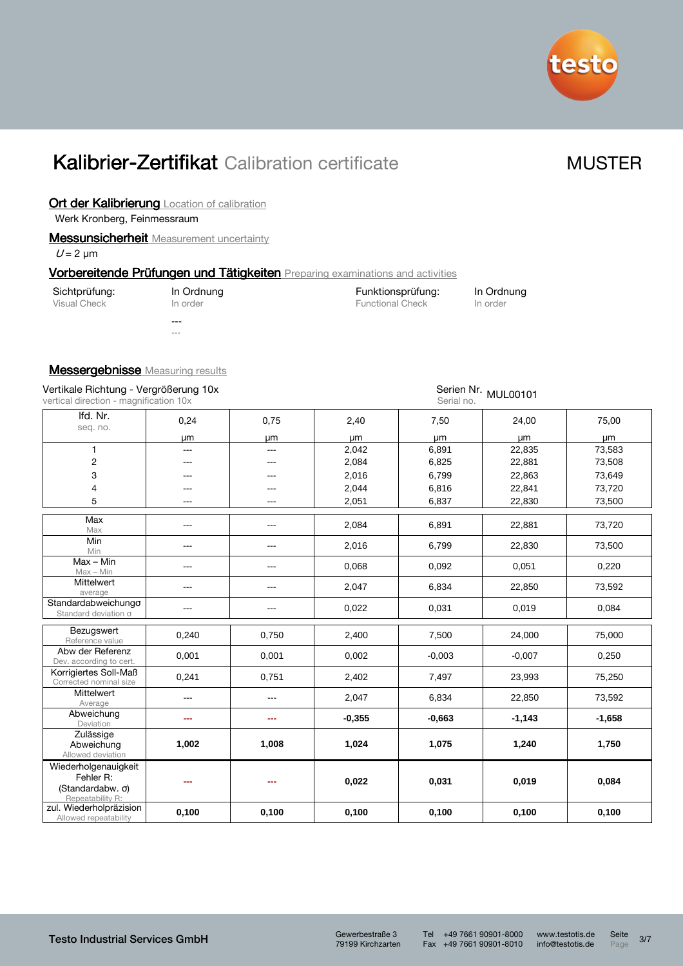

### Ort der Kalibrierung Location of calibration

Werk Kronberg, Feinmessraum

### **Messunsicherheit** Measurement uncertainty

 $U = 2 \mu m$ 

### Vorbereitende Prüfungen und Tätigkeiten Preparing examinations and activities

| Sichtprüfung: | In Ordnung | Funktionsprüfung:       | In Ordnung |
|---------------|------------|-------------------------|------------|
| Visual Check  | In order   | <b>Functional Check</b> | In order   |
|               | ---<br>--- |                         |            |

### **Messergebnisse** Measuring results

| Vertikale Richtung - Vergrößerung 10x<br>vertical direction - magnification 10x   |                | Serien Nr. MUL00101<br>Serial no. |          |          |           |          |  |  |  |
|-----------------------------------------------------------------------------------|----------------|-----------------------------------|----------|----------|-----------|----------|--|--|--|
| Ifd. Nr.                                                                          | 0,24           | 0,75                              | 2,40     | 7,50     | 24,00     | 75,00    |  |  |  |
| seq. no.                                                                          | um             | μm                                | μm       | μm       | <b>um</b> | μm       |  |  |  |
| $\mathbf{1}$                                                                      | $\overline{a}$ | $\overline{a}$                    | 2,042    | 6,891    | 22,835    | 73,583   |  |  |  |
| $\overline{c}$                                                                    | ---            | ---                               | 2,084    | 6,825    | 22,881    | 73,508   |  |  |  |
| 3                                                                                 |                |                                   | 2,016    | 6,799    | 22,863    | 73,649   |  |  |  |
| $\overline{\mathcal{L}}$                                                          |                |                                   | 2,044    | 6,816    | 22,841    | 73,720   |  |  |  |
| 5                                                                                 |                |                                   | 2,051    | 6,837    | 22,830    | 73,500   |  |  |  |
| Max<br>Max                                                                        | ---            | ---                               | 2,084    | 6,891    | 22,881    | 73,720   |  |  |  |
| Min<br>Min                                                                        | ---            | ---                               | 2,016    | 6,799    | 22,830    | 73,500   |  |  |  |
| $Max - Min$<br>$Max - Min$                                                        | ---            | ---                               | 0,068    | 0,092    | 0,051     | 0,220    |  |  |  |
| Mittelwert<br>average                                                             | ---            | ---                               | 2,047    | 6,834    | 22,850    | 73,592   |  |  |  |
| Standardabweichungo<br>Standard deviation $\sigma$                                | ---            | ---                               | 0,022    | 0,031    | 0,019     | 0,084    |  |  |  |
| Bezugswert<br>Reference value                                                     | 0,240          | 0,750                             | 2,400    | 7,500    | 24,000    | 75,000   |  |  |  |
| Abw der Referenz<br>Dev. according to cert.                                       | 0,001          | 0,001                             | 0,002    | $-0,003$ | $-0,007$  | 0,250    |  |  |  |
| Korrigiertes Soll-Maß<br>Corrected nominal size                                   | 0,241          | 0,751                             | 2,402    | 7,497    | 23,993    | 75,250   |  |  |  |
| Mittelwert<br>Average                                                             | ---            | ---                               | 2,047    | 6,834    | 22,850    | 73,592   |  |  |  |
| Abweichung<br>Deviation                                                           | ---            | ---                               | $-0,355$ | $-0,663$ | $-1,143$  | $-1,658$ |  |  |  |
| Zulässige<br>Abweichung<br>Allowed deviation                                      | 1,002          | 1,008                             | 1,024    | 1,075    | 1,240     | 1,750    |  |  |  |
| Wiederholgenauigkeit<br>Fehler R:<br>(Standardabw. $\sigma$ )<br>Repeatability R: |                |                                   | 0,022    | 0,031    | 0,019     | 0,084    |  |  |  |
| zul. Wiederholpräzision<br>Allowed repeatability                                  | 0,100          | 0,100                             | 0,100    | 0,100    | 0,100     | 0,100    |  |  |  |

79199 Kirchzarten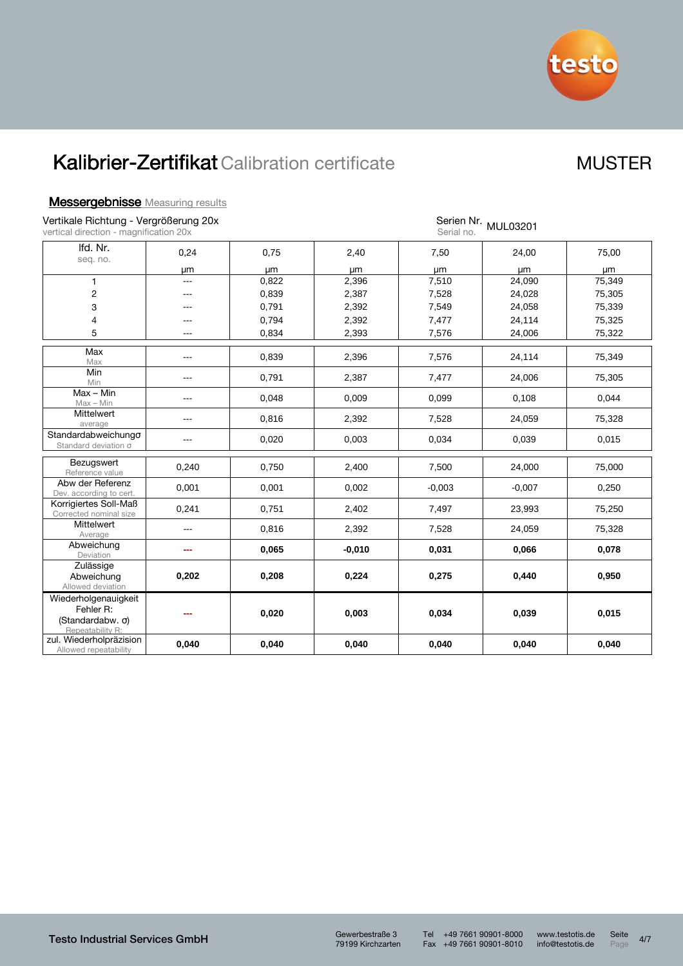

### **Messergebnisse** Measuring results

Vertikale Richtung - Vergrößerung 20x

| Vertikale Richtung - Vergrößerung 20x<br>vertical direction - magnification 20x   |                        |       |          | Serial no. | Serien Nr. MUL03201 |        |
|-----------------------------------------------------------------------------------|------------------------|-------|----------|------------|---------------------|--------|
| Ifd. Nr.<br>seq. no.                                                              | 0,24                   | 0.75  | 2,40     | 7,50       | 24,00               | 75,00  |
|                                                                                   | μm                     | μm    | μm       | μm         | µm                  | μm     |
| $\mathbf{1}$                                                                      | $\overline{a}$         | 0,822 | 2,396    | 7,510      | 24,090              | 75,349 |
| 2                                                                                 |                        | 0,839 | 2,387    | 7,528      | 24,028              | 75,305 |
| 3                                                                                 | ---                    | 0,791 | 2,392    | 7,549      | 24,058              | 75,339 |
| 4                                                                                 |                        | 0,794 | 2,392    | 7,477      | 24,114              | 75,325 |
| 5                                                                                 | $---$                  | 0,834 | 2,393    | 7,576      | 24,006              | 75,322 |
| Max<br>Max                                                                        | $\qquad \qquad \cdots$ | 0,839 | 2,396    | 7,576      | 24,114              | 75,349 |
| Min<br>Min                                                                        | ---                    | 0,791 | 2,387    | 7,477      | 24,006              | 75,305 |
| $Max - Min$<br>$Max - Min$                                                        | $---$                  | 0,048 | 0,009    | 0,099      | 0,108               | 0,044  |
| Mittelwert<br>average                                                             | ---                    | 0,816 | 2,392    | 7,528      | 24,059              | 75,328 |
| Standardabweichungo<br>Standard deviation σ                                       | $---$                  | 0,020 | 0,003    | 0,034      | 0,039               | 0,015  |
| Bezugswert<br>Reference value                                                     | 0,240                  | 0,750 | 2,400    | 7,500      | 24,000              | 75,000 |
| Abw der Referenz<br>Dev. according to cert.                                       | 0,001                  | 0,001 | 0,002    | $-0,003$   | $-0,007$            | 0,250  |
| Korrigiertes Soll-Maß<br>Corrected nominal size                                   | 0,241                  | 0,751 | 2,402    | 7,497      | 23,993              | 75,250 |
| <b>Mittelwert</b><br>Average                                                      |                        | 0,816 | 2,392    | 7,528      | 24,059              | 75,328 |
| Abweichung<br>Deviation                                                           |                        | 0,065 | $-0,010$ | 0,031      | 0,066               | 0,078  |
| Zulässige<br>Abweichung<br>Allowed deviation                                      | 0,202                  | 0,208 | 0,224    | 0,275      | 0,440               | 0,950  |
| Wiederholgenauigkeit<br>Fehler R:<br>(Standardabw. $\sigma$ )<br>Repeatability R: |                        | 0,020 | 0,003    | 0,034      | 0,039               | 0,015  |
| zul. Wiederholpräzision<br>Allowed repeatability                                  | 0,040                  | 0,040 | 0,040    | 0,040      | 0,040               | 0,040  |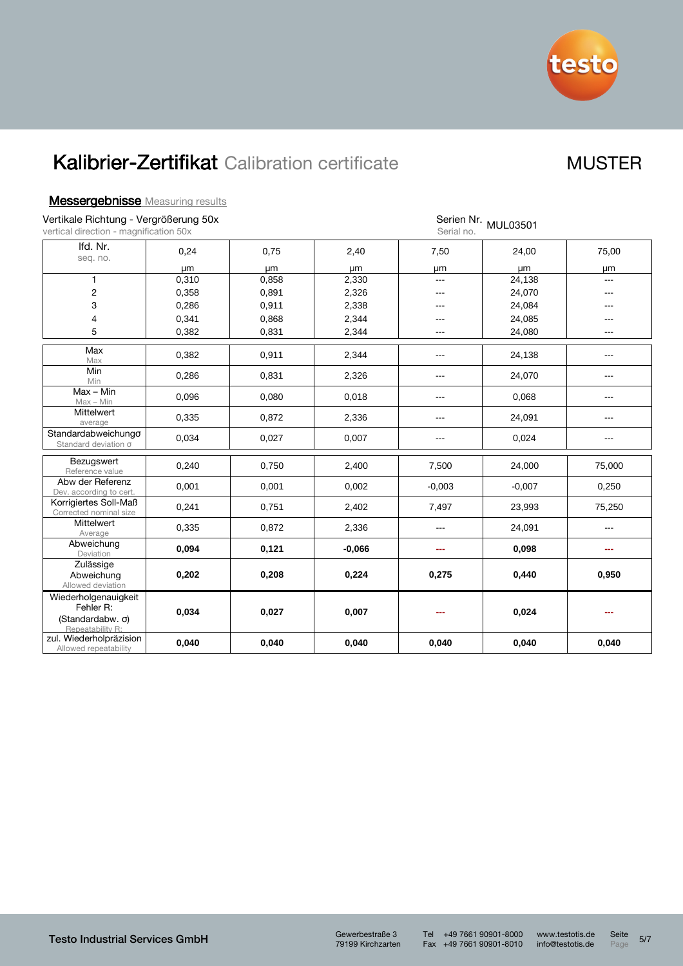

| <b>Messergebnisse</b> Measuring results |  |
|-----------------------------------------|--|
|                                         |  |

| Vertikale Richtung - Vergrößerung 50x<br>vertical direction - magnification 50x   |       |       | Serien Nr. MUL03501<br>Serial no. |                        |          |                |
|-----------------------------------------------------------------------------------|-------|-------|-----------------------------------|------------------------|----------|----------------|
| Ifd. Nr.<br>seq. no.                                                              | 0,24  | 0,75  | 2,40                              | 7,50                   | 24,00    | 75,00          |
|                                                                                   | μm    | μm    | μm                                | μm                     | μm       | μm             |
| $\mathbf{1}$                                                                      | 0,310 | 0,858 | 2,330                             | $\overline{a}$         | 24,138   | ---            |
| $\overline{c}$                                                                    | 0,358 | 0,891 | 2,326                             | ---                    | 24,070   | ---            |
| 3                                                                                 | 0,286 | 0,911 | 2,338                             | ---                    | 24,084   | ---            |
| $\overline{\mathcal{L}}$                                                          | 0,341 | 0,868 | 2,344                             | ---                    | 24,085   | $---$          |
| 5                                                                                 | 0,382 | 0,831 | 2,344                             | ---                    | 24,080   | ---            |
| Max<br>Max                                                                        | 0,382 | 0,911 | 2,344                             | $\qquad \qquad \cdots$ | 24,138   | $---$          |
| Min<br>Min                                                                        | 0,286 | 0,831 | 2,326                             | $- - -$                | 24,070   | ---            |
| $Max - Min$<br>$Max - Min$                                                        | 0,096 | 0,080 | 0,018                             | ---                    | 0,068    | ---            |
| Mittelwert<br>average                                                             | 0,335 | 0,872 | 2,336                             | $---$                  | 24,091   | ---            |
| Standardabweichungo<br>Standard deviation o                                       | 0,034 | 0,027 | 0,007                             | $\qquad \qquad \cdots$ | 0,024    | $\overline{a}$ |
| Bezugswert<br>Reference value                                                     | 0,240 | 0,750 | 2,400                             | 7,500                  | 24,000   | 75,000         |
| Abw der Referenz<br>Dev. according to cert.                                       | 0,001 | 0,001 | 0,002                             | $-0,003$               | $-0,007$ | 0,250          |
| Korrigiertes Soll-Maß<br>Corrected nominal size                                   | 0,241 | 0,751 | 2,402                             | 7,497                  | 23,993   | 75,250         |
| Mittelwert<br>Average                                                             | 0,335 | 0,872 | 2,336                             | ---                    | 24,091   | $\frac{1}{2}$  |
| Abweichung<br>Deviation                                                           | 0,094 | 0,121 | $-0,066$                          | ---                    | 0,098    | ---            |
| Zulässige<br>Abweichung<br>Allowed deviation                                      | 0,202 | 0,208 | 0,224                             | 0,275                  | 0,440    | 0,950          |
| Wiederholgenauigkeit<br>Fehler R:<br>(Standardabw. $\sigma$ )<br>Repeatability R: | 0,034 | 0,027 | 0,007                             | ---                    | 0,024    | ---            |
| zul. Wiederholpräzision<br>Allowed repeatability                                  | 0,040 | 0,040 | 0,040                             | 0,040                  | 0,040    | 0,040          |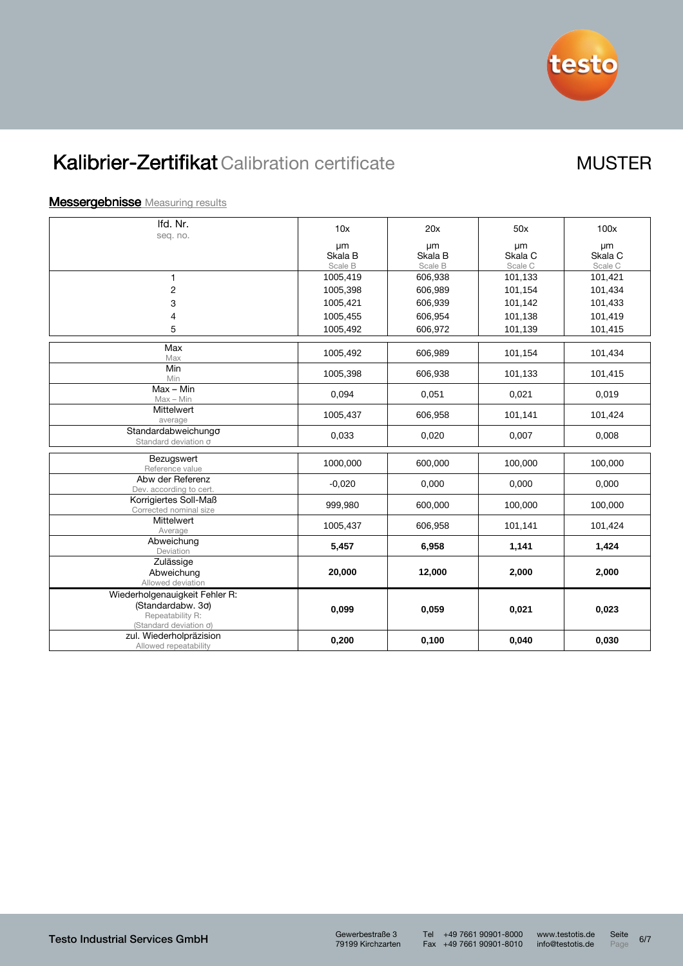

### **Messergebnisse** Measuring results

| Ifd. Nr.                                                  | 10x                | 20x                | 50x                | 100x                          |
|-----------------------------------------------------------|--------------------|--------------------|--------------------|-------------------------------|
| seq. no.                                                  |                    |                    |                    |                               |
|                                                           | μm                 | μm                 | μm                 | μm                            |
|                                                           | Skala B<br>Scale B | Skala B<br>Scale B | Skala C<br>Scale C | Skala <sub>C</sub><br>Scale C |
| $\mathbf{1}$                                              | 1005,419           | 606,938            | 101,133            | 101,421                       |
| $\overline{c}$                                            | 1005,398           | 606,989            | 101,154            | 101,434                       |
| 3                                                         | 1005,421           | 606,939            | 101,142            | 101,433                       |
| 4                                                         | 1005,455           | 606,954            | 101,138            | 101,419                       |
| 5                                                         | 1005,492           | 606,972            | 101,139            | 101,415                       |
|                                                           |                    |                    |                    |                               |
| Max<br>Max                                                | 1005,492           | 606,989            | 101,154            | 101,434                       |
| Min<br>Min                                                | 1005,398           | 606,938            | 101,133            | 101,415                       |
| Max - Min<br>$Max - Min$                                  | 0,094              | 0,051              | 0,021              | 0,019                         |
| <b>Mittelwert</b><br>average                              | 1005,437           | 606,958            | 101,141            | 101,424                       |
| Standardabweichungo<br>Standard deviation σ               | 0,033              | 0,020              | 0,007              | 0,008                         |
| Bezugswert                                                |                    |                    |                    |                               |
| Reference value                                           | 1000,000           | 600,000            | 100,000            | 100,000                       |
| Abw der Referenz<br>Dev. according to cert.               | $-0.020$           | 0,000              | 0,000              | 0,000                         |
| Korrigiertes Soll-Maß<br>Corrected nominal size           | 999,980            | 600,000            | 100,000            | 100,000                       |
| <b>Mittelwert</b><br>Average                              | 1005,437           | 606,958            | 101,141            | 101,424                       |
| Abweichung<br>Deviation                                   | 5,457              | 6,958              | 1,141              | 1,424                         |
| Zulässige                                                 |                    |                    |                    |                               |
| Abweichung<br>Allowed deviation                           | 20,000             | 12,000             | 2,000              | 2,000                         |
| Wiederholgenauigkeit Fehler R:                            |                    |                    |                    |                               |
| (Standardabw. 3σ)                                         | 0,099              | 0,059              | 0,021              | 0,023                         |
| Repeatability R:                                          |                    |                    |                    |                               |
| (Standard deviation $\sigma$ )<br>zul. Wiederholpräzision |                    |                    |                    |                               |
| Allowed repeatability                                     | 0,200              | 0,100              | 0,040              | 0,030                         |